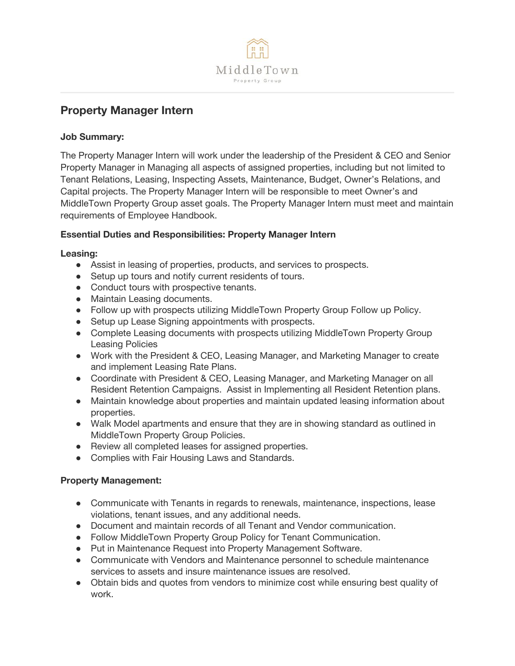

# **Property Manager Intern**

### **Job Summary:**

The Property Manager Intern will work under the leadership of the President & CEO and Senior Property Manager in Managing all aspects of assigned properties, including but not limited to Tenant Relations, Leasing, Inspecting Assets, Maintenance, Budget, Owner's Relations, and Capital projects. The Property Manager Intern will be responsible to meet Owner's and MiddleTown Property Group asset goals. The Property Manager Intern must meet and maintain requirements of Employee Handbook.

#### **Essential Duties and Responsibilities: Property Manager Intern**

#### **Leasing:**

- Assist in leasing of properties, products, and services to prospects.
- Setup up tours and notify current residents of tours.
- Conduct tours with prospective tenants.
- Maintain Leasing documents.
- Follow up with prospects utilizing MiddleTown Property Group Follow up Policy.
- Setup up Lease Signing appointments with prospects.
- Complete Leasing documents with prospects utilizing MiddleTown Property Group Leasing Policies
- Work with the President & CEO, Leasing Manager, and Marketing Manager to create and implement Leasing Rate Plans.
- Coordinate with President & CEO, Leasing Manager, and Marketing Manager on all Resident Retention Campaigns. Assist in Implementing all Resident Retention plans.
- Maintain knowledge about properties and maintain updated leasing information about properties.
- Walk Model apartments and ensure that they are in showing standard as outlined in MiddleTown Property Group Policies.
- Review all completed leases for assigned properties.
- Complies with Fair Housing Laws and Standards.

## **Property Management:**

- Communicate with Tenants in regards to renewals, maintenance, inspections, lease violations, tenant issues, and any additional needs.
- Document and maintain records of all Tenant and Vendor communication.
- Follow MiddleTown Property Group Policy for Tenant Communication.
- Put in Maintenance Request into Property Management Software.
- Communicate with Vendors and Maintenance personnel to schedule maintenance services to assets and insure maintenance issues are resolved.
- Obtain bids and quotes from vendors to minimize cost while ensuring best quality of work.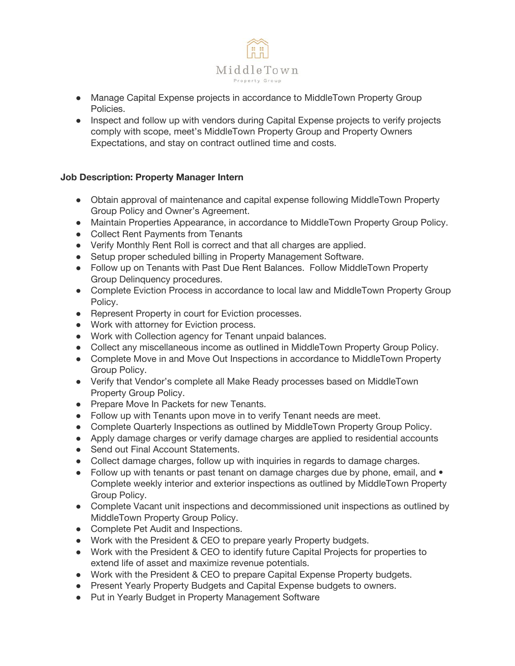

- Manage Capital Expense projects in accordance to MiddleTown Property Group Policies.
- Inspect and follow up with vendors during Capital Expense projects to verify projects comply with scope, meet's MiddleTown Property Group and Property Owners Expectations, and stay on contract outlined time and costs.

#### **Job Description: Property Manager Intern**

- Obtain approval of maintenance and capital expense following MiddleTown Property Group Policy and Owner's Agreement.
- Maintain Properties Appearance, in accordance to MiddleTown Property Group Policy.
- Collect Rent Payments from Tenants
- Verify Monthly Rent Roll is correct and that all charges are applied.
- Setup proper scheduled billing in Property Management Software.
- Follow up on Tenants with Past Due Rent Balances. Follow MiddleTown Property Group Delinquency procedures.
- Complete Eviction Process in accordance to local law and MiddleTown Property Group Policy.
- Represent Property in court for Eviction processes.
- Work with attorney for Eviction process.
- Work with Collection agency for Tenant unpaid balances.
- Collect any miscellaneous income as outlined in MiddleTown Property Group Policy.
- Complete Move in and Move Out Inspections in accordance to MiddleTown Property Group Policy.
- Verify that Vendor's complete all Make Ready processes based on MiddleTown Property Group Policy.
- Prepare Move In Packets for new Tenants.
- Follow up with Tenants upon move in to verify Tenant needs are meet.
- Complete Quarterly Inspections as outlined by MiddleTown Property Group Policy.
- Apply damage charges or verify damage charges are applied to residential accounts
- Send out Final Account Statements.
- Collect damage charges, follow up with inquiries in regards to damage charges.
- Follow up with tenants or past tenant on damage charges due by phone, email, and Complete weekly interior and exterior inspections as outlined by MiddleTown Property Group Policy.
- Complete Vacant unit inspections and decommissioned unit inspections as outlined by MiddleTown Property Group Policy.
- Complete Pet Audit and Inspections.
- Work with the President & CEO to prepare yearly Property budgets.
- Work with the President & CEO to identify future Capital Projects for properties to extend life of asset and maximize revenue potentials.
- Work with the President & CEO to prepare Capital Expense Property budgets.
- Present Yearly Property Budgets and Capital Expense budgets to owners.
- Put in Yearly Budget in Property Management Software